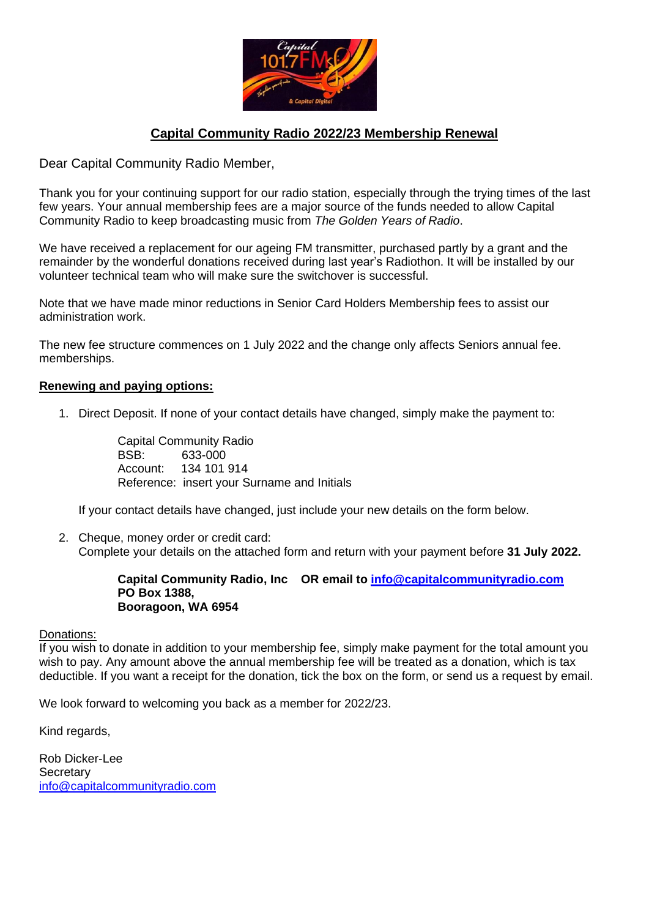

## **Capital Community Radio 2022/23 Membership Renewal**

Dear Capital Community Radio Member,

Thank you for your continuing support for our radio station, especially through the trying times of the last few years. Your annual membership fees are a major source of the funds needed to allow Capital Community Radio to keep broadcasting music from *The Golden Years of Radio*.

We have received a replacement for our ageing FM transmitter, purchased partly by a grant and the remainder by the wonderful donations received during last year's Radiothon. It will be installed by our volunteer technical team who will make sure the switchover is successful.

Note that we have made minor reductions in Senior Card Holders Membership fees to assist our administration work.

The new fee structure commences on 1 July 2022 and the change only affects Seniors annual fee. memberships.

## **Renewing and paying options:**

1. Direct Deposit. If none of your contact details have changed, simply make the payment to:

Capital Community Radio BSB: 633-000 Account: 134 101 914 Reference: insert your Surname and Initials

If your contact details have changed, just include your new details on the form below.

2. Cheque, money order or credit card: Complete your details on the attached form and return with your payment before **31 July 2022.**

## **Capital Community Radio, Inc OR email to [info@capitalcommunityradio.com](about:blank) PO Box 1388, Booragoon, WA 6954**

Donations:

If you wish to donate in addition to your membership fee, simply make payment for the total amount you wish to pay. Any amount above the annual membership fee will be treated as a donation, which is tax deductible. If you want a receipt for the donation, tick the box on the form, or send us a request by email.

We look forward to welcoming you back as a member for 2022/23.

Kind regards,

Rob Dicker-Lee **Secretary** [info@capitalcommunityradio.com](about:blank)